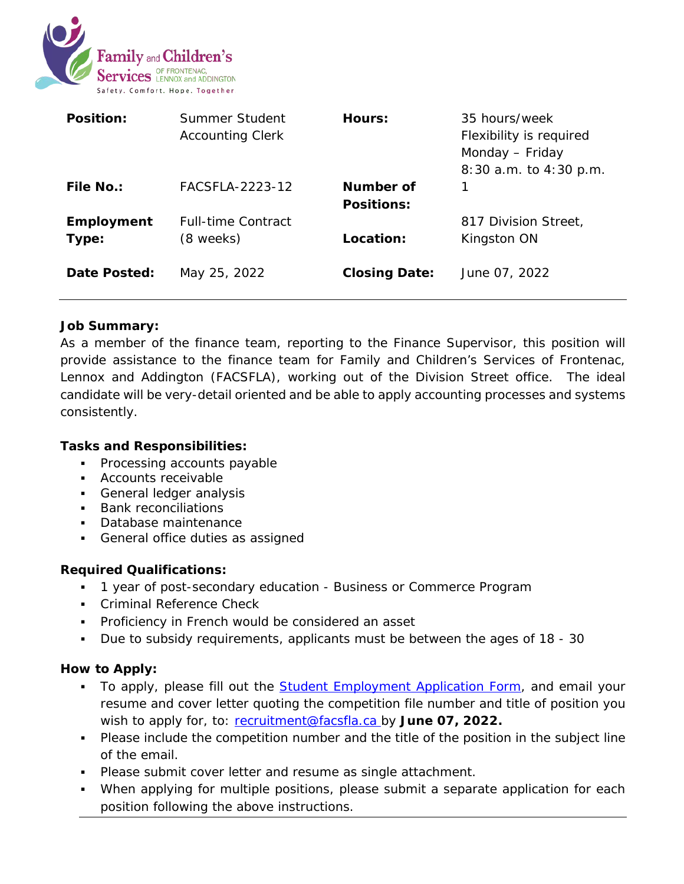

| <b>Position:</b>    | Summer Student<br><b>Accounting Clerk</b> | Hours:                         | 35 hours/week<br>Flexibility is required<br>Monday - Friday<br>8:30 a.m. to 4:30 p.m. |
|---------------------|-------------------------------------------|--------------------------------|---------------------------------------------------------------------------------------|
| <b>File No.:</b>    | FACSFI A-2223-12                          | Number of<br><b>Positions:</b> | 1                                                                                     |
| Employment<br>Type: | <b>Full-time Contract</b><br>(8 weeks)    | Location:                      | 817 Division Street,<br>Kingston ON                                                   |
| Date Posted:        | May 25, 2022                              | <b>Closing Date:</b>           | June 07, 2022                                                                         |

## **Job Summary:**

As a member of the finance team, reporting to the Finance Supervisor, this position will provide assistance to the finance team for Family and Children's Services of Frontenac, Lennox and Addington (FACSFLA), working out of the Division Street office. The ideal candidate will be very-detail oriented and be able to apply accounting processes and systems consistently.

## **Tasks and Responsibilities:**

- Processing accounts payable
- Accounts receivable
- General ledger analysis
- **Bank reconciliations**
- Database maintenance
- **General office duties as assigned**

## **Required Qualifications:**

- 1 year of post-secondary education Business or Commerce Program
- **Criminal Reference Check**
- **Proficiency in French would be considered an asset**
- Due to subsidy requirements, applicants must be between the ages of 18 30

## **How to Apply:**

- To apply, please fill out the **Student Employment Application Form**, and email your resume and cover letter quoting the competition file number and title of position you wish to apply for, to: [recruitment@facsfla.ca](mailto:recruitment@facsfla.ca) by June 07, 2022.
- Please include the competition number and the title of the position in the subject line of the email.
- **Please submit cover letter and resume as single attachment.**
- When applying for multiple positions, please submit a separate application for each position following the above instructions.